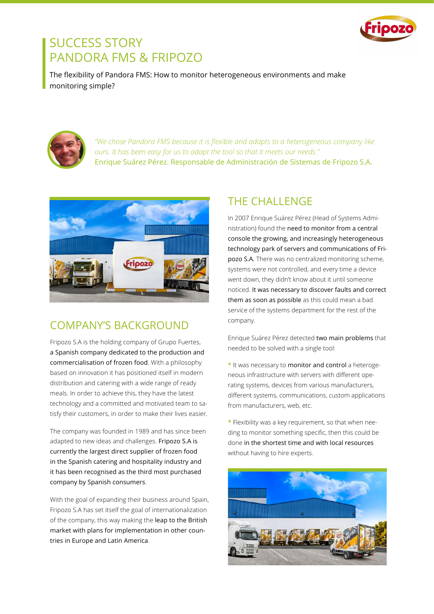

## SUCCESS STORY PANDORA FMS & FRIPOZO

The flexibility of Pandora FMS: How to monitor heterogeneous environments and make monitoring simple?



*"We chose Pandora FMS because it is flexible and adapts to a heterogeneous company like ours. It has been easy for us to adapt the tool so that it meets our needs."*  Enrique Suárez Pérez. Responsable de Administración de Sistemas de Fripozo S.A.



#### COMPANY'S BACKGROUND

Fripozo S.A is the holding company of Grupo Fuertes, a Spanish company dedicated to the production and commercialisation of frozen food. With a philosophy based on innovation it has positioned itself in modern distribution and catering with a wide range of ready meals. In order to achieve this, they have the latest technology and a committed and motivated team to satisfy their customers, in order to make their lives easier.

The company was founded in 1989 and has since been adapted to new ideas and challenges. Fripozo S.A is currently the largest direct supplier of frozen food in the Spanish catering and hospitality industry and it has been recognised as the third most purchased company by Spanish consumers.

With the goal of expanding their business around Spain, Fripozo S.A has set itself the goal of internationalization of the company, this way making the leap to the British market with plans for implementation in other countries in Europe and Latin America.

#### THE CHALLENGE

In 2007 Enrique Suárez Pérez (Head of Systems Administration) found the need to monitor from a central console the growing, and increasingly heterogeneous technology park of servers and communications of Fripozo S.A. There was no centralized monitoring scheme, systems were not controlled, and every time a device went down, they didn't know about it until someone noticed. It was necessary to discover faults and correct them as soon as possible as this could mean a bad service of the systems department for the rest of the company.

Enrique Suárez Pérez detected two main problems that needed to be solved with a single tool:

**\*** It was necessary to monitor and control a heterogeneous infrastructure with servers with different operating systems, devices from various manufacturers, different systems, communications, custom applications from manufacturers, web, etc.

**\*** Flexibility was a key requirement, so that when needing to monitor something specific, then this could be done in the shortest time and with local resources without having to hire experts.

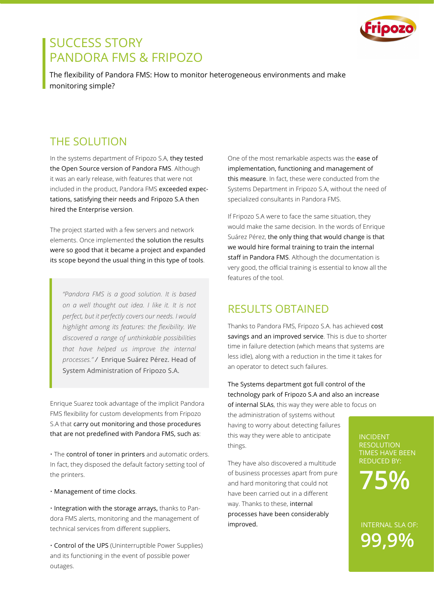

## SUCCESS STORY PANDORA FMS & FRIPOZO

The flexibility of Pandora FMS: How to monitor heterogeneous environments and make monitoring simple?

#### THE SOLUTION

In the systems department of Fripozo S.A, they tested the Open Source version of Pandora FMS. Although it was an early release, with features that were not included in the product, Pandora FMS exceeded expectations, satisfying their needs and Fripozo S.A then hired the Enterprise version.

The project started with a few servers and network elements. Once implemented the solution the results were so good that it became a project and expanded its scope beyond the usual thing in this type of tools.

*"Pandora FMS is a good solution. It is based on a well thought out idea. I like it. It is not perfect, but it perfectly covers our needs. I would highlight among its features: the flexibility. We discovered a range of unthinkable possibilities that have helped us improve the internal processes." /* Enrique Suárez Pérez. Head of System Administration of Fripozo S.A.

Enrique Suarez took advantage of the implicit Pandora FMS flexibility for custom developments from Fripozo S.A that carry out monitoring and those procedures that are not predefined with Pandora FMS, such as:

• The control of toner in printers and automatic orders. In fact, they disposed the default factory setting tool of the printers.

• Management of time clocks.

• Integration with the storage arrays, thanks to Pandora FMS alerts, monitoring and the management of technical services from different suppliers.

• Control of the UPS (Uninterruptible Power Supplies) and its functioning in the event of possible power outages.

One of the most remarkable aspects was the ease of implementation, functioning and management of this measure. In fact, these were conducted from the Systems Department in Fripozo S.A, without the need of specialized consultants in Pandora FMS.

If Fripozo S.A were to face the same situation, they would make the same decision. In the words of Enrique Suárez Pérez, the only thing that would change is that we would hire formal training to train the internal staff in Pandora FMS. Although the documentation is very good, the official training is essential to know all the features of the tool.

#### RESULTS OBTAINED

Thanks to Pandora FMS, Fripozo S.A. has achieved cost savings and an improved service. This is due to shorter time in failure detection (which means that systems are less idle), along with a reduction in the time it takes for an operator to detect such failures.

The Systems department got full control of the technology park of Fripozo S.A and also an increase of internal SLAs, this way they were able to focus on

the administration of systems without having to worry about detecting failures this way they were able to anticipate things.

They have also discovered a multitude of business processes apart from pure and hard monitoring that could not have been carried out in a different way. Thanks to these, internal processes have been considerably improved.

INCIDENT RESOLUTION TIMES HAVE BEEN REDUCED BY:

**75%**

**99,9%** INTERNAL SLA OF: